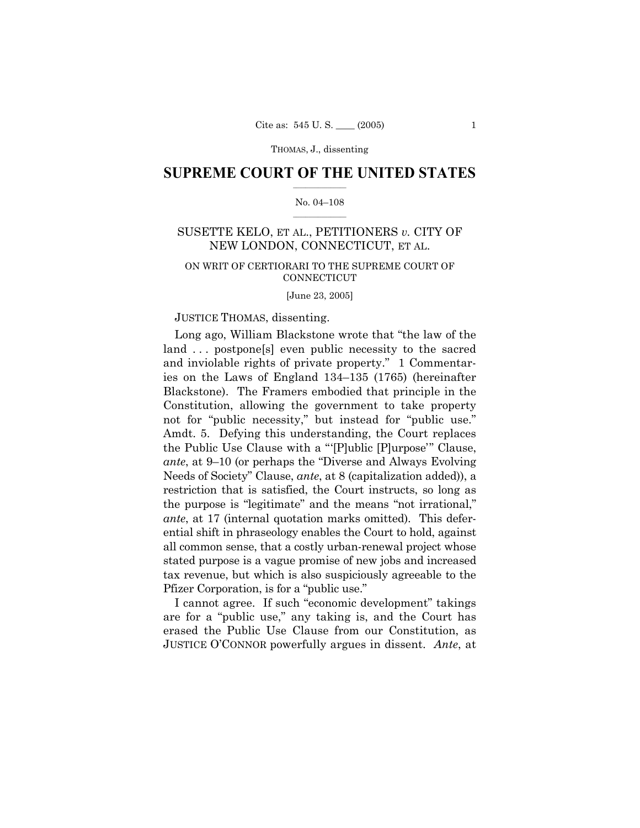# **SUPREME COURT OF THE UNITED STATES**

### No. 04-108

# SUSETTE KELO, ET AL., PETITIONERS v. CITY OF NEW LONDON, CONNECTICUT, ET AL.

### ON WRIT OF CERTIORARI TO THE SUPREME COURT OF CONNECTICUT

[June 23, 2005]

### JUSTICE THOMAS, dissenting.

Long ago, William Blackstone wrote that "the law of the land ... postpones even public necessity to the sacred and inviolable rights of private property." 1 Commentaries on the Laws of England 134-135 (1765) (hereinafter Blackstone). The Framers embodied that principle in the Constitution, allowing the government to take property not for "public necessity," but instead for "public use." Amdt. 5. Defying this understanding, the Court replaces the Public Use Clause with a "'[P]ublic [P]urpose'" Clause, *ante*, at 9–10 (or perhaps the "Diverse and Always Evolving" Needs of Society" Clause, ante, at 8 (capitalization added)), a restriction that is satisfied, the Court instructs, so long as the purpose is "legitimate" and the means "not irrational," *ante*, at 17 (internal quotation marks omitted). This deferential shift in phraseology enables the Court to hold, against all common sense, that a costly urban-renewal project whose stated purpose is a vague promise of new jobs and increased tax revenue, but which is also suspiciously agreeable to the Pfizer Corporation, is for a "public use."

I cannot agree. If such "economic development" takings are for a "public use," any taking is, and the Court has erased the Public Use Clause from our Constitution, as JUSTICE O'CONNOR powerfully argues in dissent. Ante, at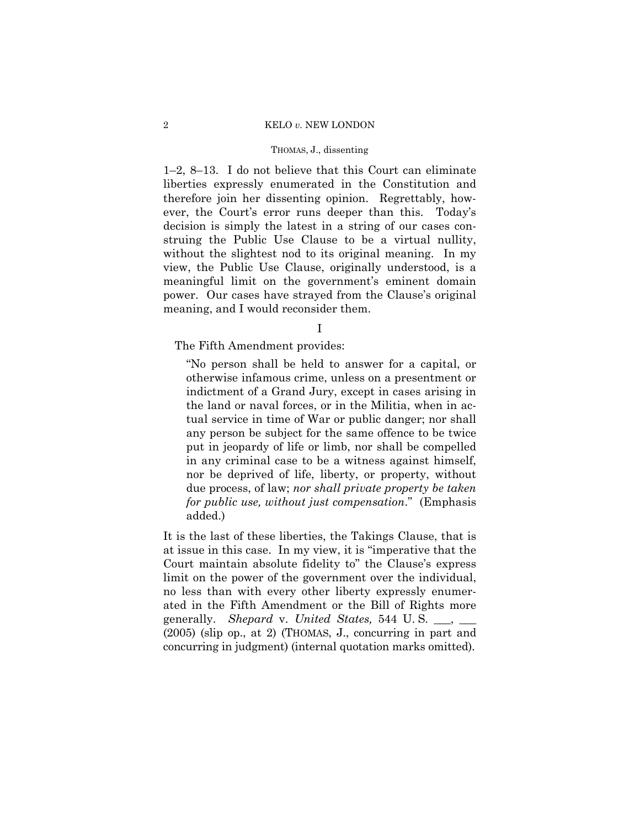### THOMAS, J., dissenting

 $1-2$ , 8–13. I do not believe that this Court can eliminate liberties expressly enumerated in the Constitution and therefore join her dissenting opinion. Regrettably, however, the Court's error runs deeper than this. Today's decision is simply the latest in a string of our cases construing the Public Use Clause to be a virtual nullity, without the slightest nod to its original meaning. In my view, the Public Use Clause, originally understood, is a meaningful limit on the government's eminent domain power. Our cases have strayed from the Clause's original meaning, and I would reconsider them.

I

The Fifth Amendment provides:

ìNo person shall be held to answer for a capital, or otherwise infamous crime, unless on a presentment or indictment of a Grand Jury, except in cases arising in the land or naval forces, or in the Militia, when in actual service in time of War or public danger; nor shall any person be subject for the same offence to be twice put in jeopardy of life or limb, nor shall be compelled in any criminal case to be a witness against himself, nor be deprived of life, liberty, or property, without due process, of law; *nor shall private property be taken for public use, without just compensation.*" (Emphasis added.)

It is the last of these liberties, the Takings Clause, that is at issue in this case. In my view, it is "imperative that the Court maintain absolute fidelity to" the Clause's express limit on the power of the government over the individual, no less than with every other liberty expressly enumerated in the Fifth Amendment or the Bill of Rights more generally. *Shepard* v. *United States,* 544 U. S. \_\_\_, \_\_\_ (2005) (slip op., at 2) (THOMAS, J., concurring in part and concurring in judgment) (internal quotation marks omitted).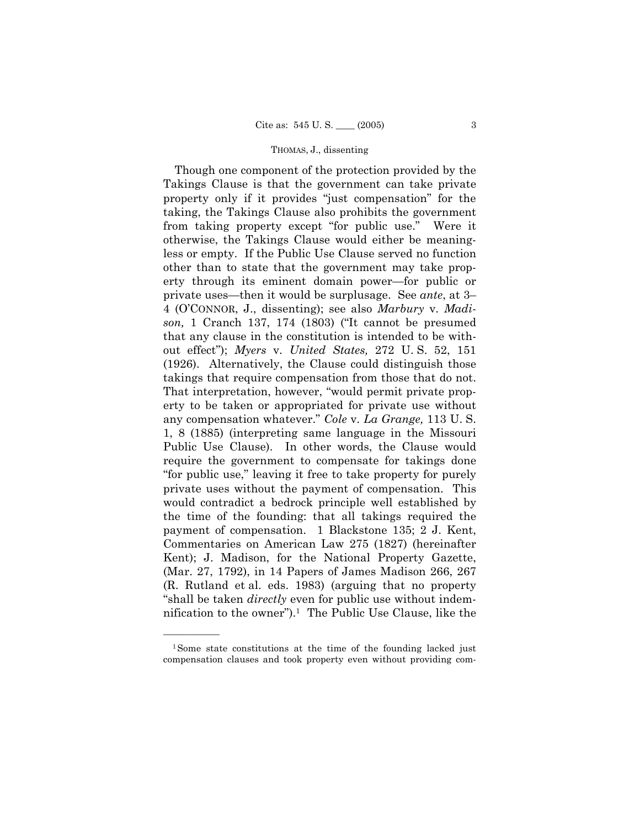Though one component of the protection provided by the Takings Clause is that the government can take private property only if it provides "just compensation" for the taking, the Takings Clause also prohibits the government from taking property except "for public use." Were it otherwise, the Takings Clause would either be meaningless or empty. If the Public Use Clause served no function other than to state that the government may take property through its eminent domain power—for public or private uses—then it would be surplusage. See *ante*, at 3– 4 (OíCONNOR, J., dissenting); see also *Marbury* v. *Madison*, 1 Cranch 137, 174 (1803) ("It cannot be presumed that any clause in the constitution is intended to be without effectî); *Myers* v. *United States,* 272 U. S. 52, 151 (1926). Alternatively, the Clause could distinguish those takings that require compensation from those that do not. That interpretation, however, "would permit private property to be taken or appropriated for private use without any compensation whatever.î *Cole* v. *La Grange,* 113 U. S. 1, 8 (1885) (interpreting same language in the Missouri Public Use Clause). In other words, the Clause would require the government to compensate for takings done ìfor public use,î leaving it free to take property for purely private uses without the payment of compensation. This would contradict a bedrock principle well established by the time of the founding: that all takings required the payment of compensation. 1 Blackstone 135; 2 J. Kent, Commentaries on American Law 275 (1827) (hereinafter Kent); J. Madison, for the National Property Gazette, (Mar. 27, 1792), in 14 Papers of James Madison 266, 267 (R. Rutland et al. eds. 1983) (arguing that no property "shall be taken *directly* even for public use without indemnification to the owner").<sup>1</sup> The Public Use Clause, like the

óóóóóó

<sup>1</sup>Some state constitutions at the time of the founding lacked just compensation clauses and took property even without providing com-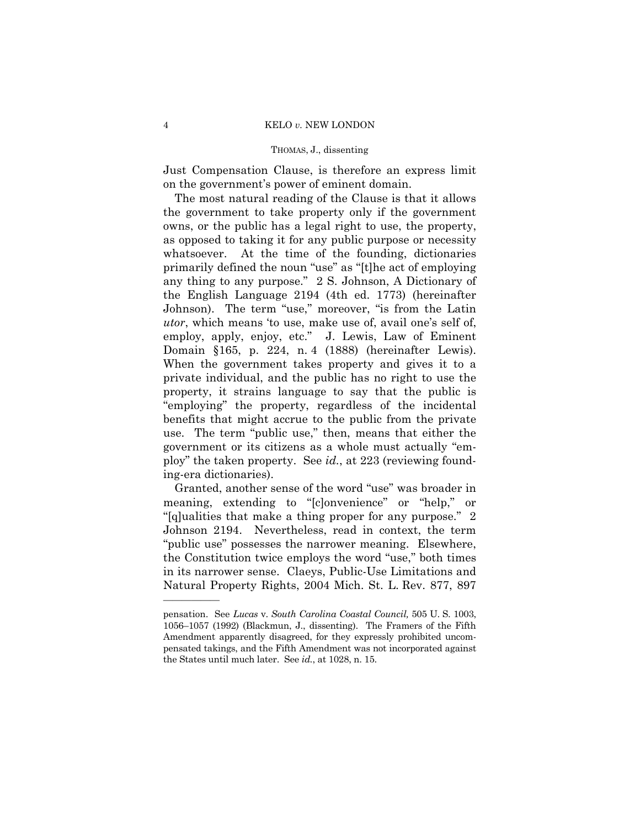### THOMAS, J., dissenting

Just Compensation Clause, is therefore an express limit on the government's power of eminent domain.

The most natural reading of the Clause is that it allows the government to take property only if the government owns, or the public has a legal right to use, the property, as opposed to taking it for any public purpose or necessity whatsoever. At the time of the founding, dictionaries primarily defined the noun "use" as "[t] he act of employing any thing to any purpose." 2 S. Johnson, A Dictionary of the English Language 2194 (4th ed. 1773) (hereinafter Johnson). The term "use," moreover, "is from the Latin *utor*, which means 'to use, make use of, avail one's self of, employ, apply, enjoy, etc." J. Lewis, Law of Eminent Domain §165, p. 224, n. 4 (1888) (hereinafter Lewis). When the government takes property and gives it to a private individual, and the public has no right to use the property, it strains language to say that the public is "employing" the property, regardless of the incidental benefits that might accrue to the public from the private use. The term "public use," then, means that either the government or its citizens as a whole must actually "employ" the taken property. See  $id$ , at 223 (reviewing founding-era dictionaries).

Granted, another sense of the word "use" was broader in meaning, extending to "[c]onvenience" or "help," or "[g]ualities that make a thing proper for any purpose." 2 Johnson 2194. Nevertheless, read in context, the term "public use" possesses the narrower meaning. Elsewhere, the Constitution twice employs the word "use," both times in its narrower sense. Claeys, Public-Use Limitations and Natural Property Rights, 2004 Mich. St. L. Rev. 877, 897

pensation. See Lucas v. South Carolina Coastal Council, 505 U.S. 1003, 1056–1057 (1992) (Blackmun, J., dissenting). The Framers of the Fifth Amendment apparently disagreed, for they expressly prohibited uncompensated takings, and the Fifth Amendment was not incorporated against the States until much later. See id., at 1028, n. 15.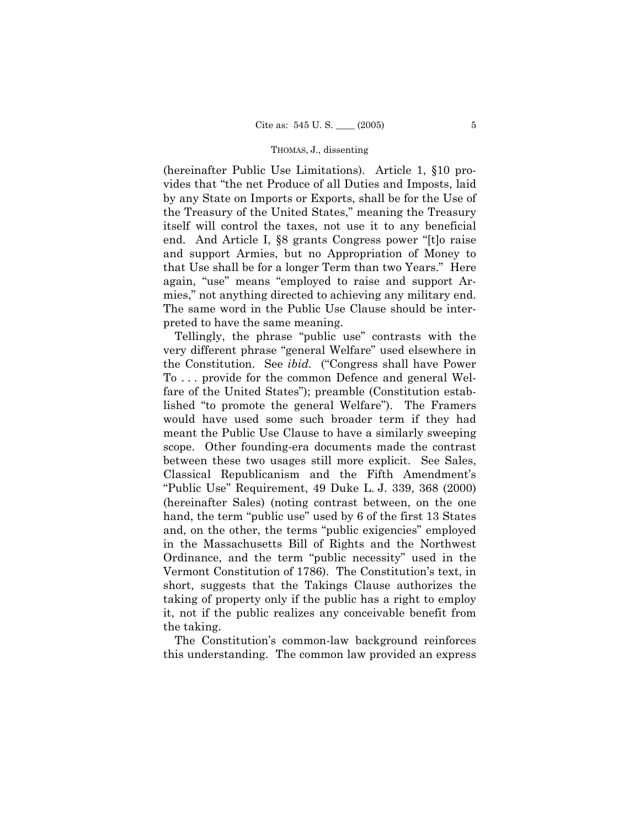(hereinafter Public Use Limitations). Article 1, §10 provides that "the net Produce of all Duties and Imposts, laid by any State on Imports or Exports, shall be for the Use of the Treasury of the United States," meaning the Treasury itself will control the taxes, not use it to any beneficial end. And Article I, §8 grants Congress power "[t] o raise and support Armies, but no Appropriation of Money to that Use shall be for a longer Term than two Years." Here again, "use" means "employed to raise and support Armies," not anything directed to achieving any military end. The same word in the Public Use Clause should be interpreted to have the same meaning.

Tellingly, the phrase "public use" contrasts with the very different phrase "general Welfare" used elsewhere in the Constitution. See *ibid.* ("Congress shall have Power" To ... provide for the common Defence and general Welfare of the United States"; preamble (Constitution established "to promote the general Welfare"). The Framers would have used some such broader term if they had meant the Public Use Clause to have a similarly sweeping scope. Other founding-era documents made the contrast between these two usages still more explicit. See Sales, Classical Republicanism and the Fifth Amendment's "Public Use" Requirement, 49 Duke L. J. 339, 368 (2000) (hereinafter Sales) (noting contrast between, on the one hand, the term "public use" used by 6 of the first 13 States and, on the other, the terms "public exigencies" employed in the Massachusetts Bill of Rights and the Northwest Ordinance, and the term "public necessity" used in the Vermont Constitution of 1786). The Constitution's text, in short, suggests that the Takings Clause authorizes the taking of property only if the public has a right to employ it, not if the public realizes any conceivable benefit from the taking.

The Constitution's common-law background reinforces this understanding. The common law provided an express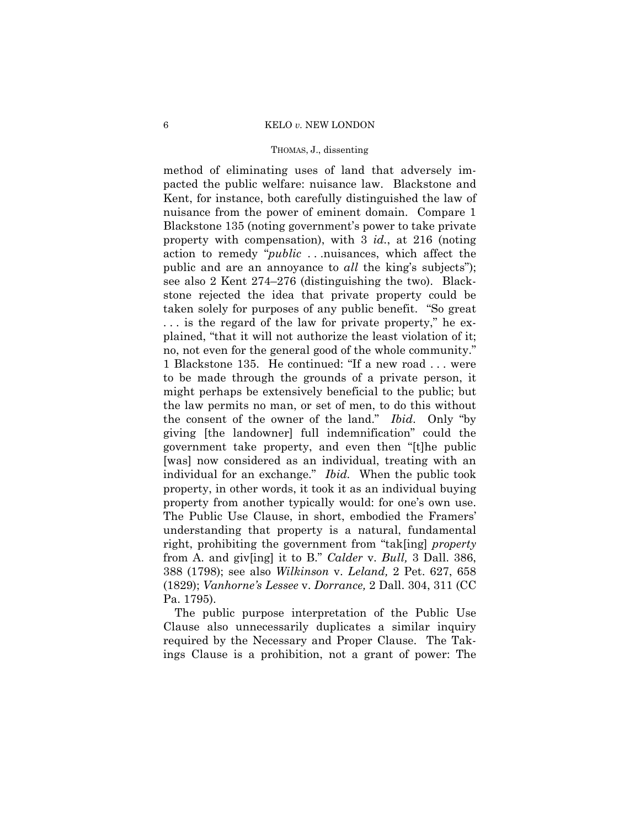### THOMAS, J., dissenting

method of eliminating uses of land that adversely impacted the public welfare: nuisance law. Blackstone and Kent, for instance, both carefully distinguished the law of nuisance from the power of eminent domain. Compare 1 Blackstone 135 (noting government's power to take private property with compensation), with  $3 \text{ id.}$ , at  $216$  (noting action to remedy "*public* ... nuisances, which affect the public and are an annoyance to all the king's subjects"); see also 2 Kent 274–276 (distinguishing the two). Blackstone rejected the idea that private property could be taken solely for purposes of any public benefit. "So great ... is the regard of the law for private property," he explained, "that it will not authorize the least violation of it; no, not even for the general good of the whole community." 1 Blackstone 135. He continued: "If a new road ... were to be made through the grounds of a private person, it might perhaps be extensively beneficial to the public; but the law permits no man, or set of men, to do this without the consent of the owner of the land." Ibid. Only "by giving [the landowner] full indemnification" could the government take property, and even then "[t]he public [was] now considered as an individual, treating with an individual for an exchange." *Ibid*. When the public took property, in other words, it took it as an individual buying property from another typically would: for one's own use. The Public Use Clause, in short, embodied the Framers' understanding that property is a natural, fundamental right, prohibiting the government from "takeling property" from A. and giv[ing] it to B." Calder v. Bull, 3 Dall. 386, 388 (1798); see also *Wilkinson v. Leland*, 2 Pet. 627, 658 (1829); Vanhorne's Lessee v. Dorrance, 2 Dall. 304, 311 (CC Pa. 1795).

The public purpose interpretation of the Public Use Clause also unnecessarily duplicates a similar inquiry required by the Necessary and Proper Clause. The Takings Clause is a prohibition, not a grant of power: The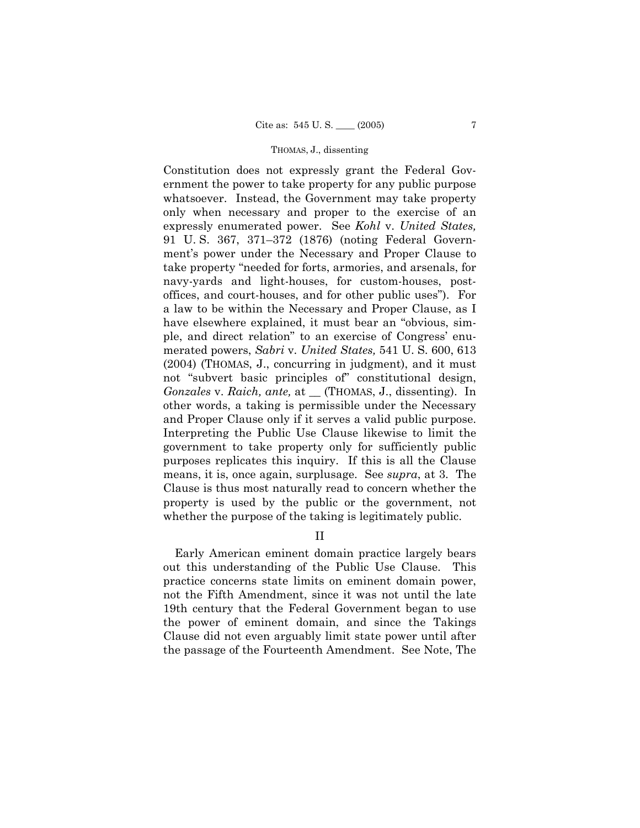Constitution does not expressly grant the Federal Government the power to take property for any public purpose whatsoever. Instead, the Government may take property only when necessary and proper to the exercise of an expressly enumerated power. See *Kohl* v. *United States,* 91 U.S. 367, 371–372 (1876) (noting Federal Governmentís power under the Necessary and Proper Clause to take property "needed for forts, armories, and arsenals, for navy-yards and light-houses, for custom-houses, postoffices, and court-houses, and for other public usesî). For a law to be within the Necessary and Proper Clause, as I have elsewhere explained, it must bear an "obvious, simple, and direct relation" to an exercise of Congress' enumerated powers, *Sabri* v. *United States,* 541 U. S. 600, 613 (2004) (THOMAS, J., concurring in judgment), and it must not "subvert basic principles of" constitutional design, *Gonzales* v. *Raich, ante,* at \_\_ (THOMAS, J., dissenting). In other words, a taking is permissible under the Necessary and Proper Clause only if it serves a valid public purpose. Interpreting the Public Use Clause likewise to limit the government to take property only for sufficiently public purposes replicates this inquiry. If this is all the Clause means, it is, once again, surplusage. See *supra*, at 3. The Clause is thus most naturally read to concern whether the property is used by the public or the government, not whether the purpose of the taking is legitimately public.

II

 Early American eminent domain practice largely bears out this understanding of the Public Use Clause. This practice concerns state limits on eminent domain power, not the Fifth Amendment, since it was not until the late 19th century that the Federal Government began to use the power of eminent domain, and since the Takings Clause did not even arguably limit state power until after the passage of the Fourteenth Amendment. See Note, The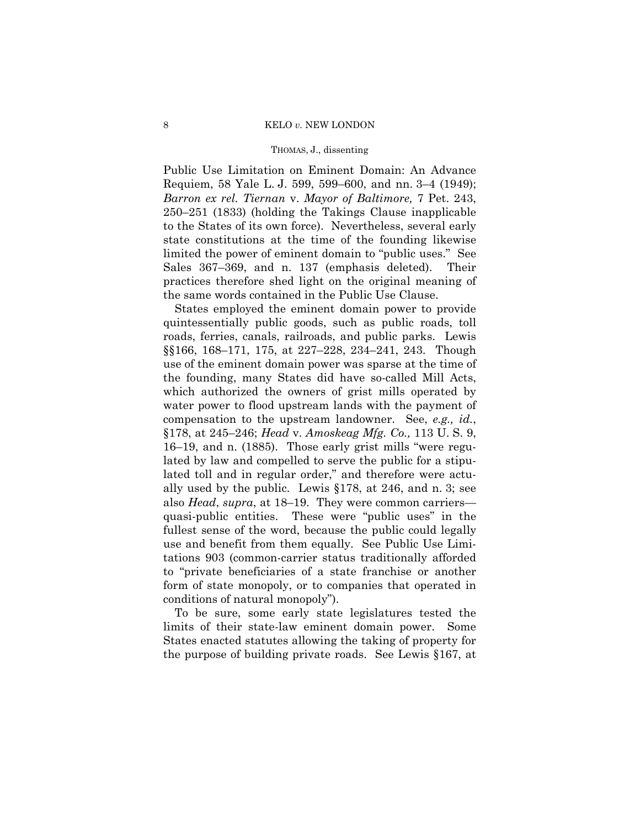### THOMAS, J., dissenting

Public Use Limitation on Eminent Domain: An Advance Requiem, 58 Yale L. J. 599, 599–600, and nn. 3–4 (1949); *Barron ex rel. Tiernan* v. *Mayor of Baltimore,* 7 Pet. 243,  $250-251$  (1833) (holding the Takings Clause inapplicable to the States of its own force). Nevertheless, several early state constitutions at the time of the founding likewise limited the power of eminent domain to "public uses." See Sales  $367-369$ , and n. 137 (emphasis deleted). Their practices therefore shed light on the original meaning of the same words contained in the Public Use Clause.

 States employed the eminent domain power to provide quintessentially public goods, such as public roads, toll roads, ferries, canals, railroads, and public parks. Lewis  $\S$ [166, 168–171, 175, at 227–228, 234–241, 243. Though use of the eminent domain power was sparse at the time of the founding, many States did have so-called Mill Acts, which authorized the owners of grist mills operated by water power to flood upstream lands with the payment of compensation to the upstream landowner. See, *e.g., id.*, ß178, at 245ñ246; *Head* v. *Amoskeag Mfg. Co.,* 113 U. S. 9,  $16-19$ , and n. (1885). Those early grist mills "were regulated by law and compelled to serve the public for a stipulated toll and in regular order," and therefore were actually used by the public. Lewis ß178, at 246, and n. 3; see also *Head*, *supra*, at 18–19. They were common carriers quasi-public entities. These were "public uses" in the fullest sense of the word, because the public could legally use and benefit from them equally. See Public Use Limitations 903 (common-carrier status traditionally afforded to "private beneficiaries of a state franchise or another form of state monopoly, or to companies that operated in conditions of natural monopoly").

To be sure, some early state legislatures tested the limits of their state-law eminent domain power. Some States enacted statutes allowing the taking of property for the purpose of building private roads. See Lewis ß167, at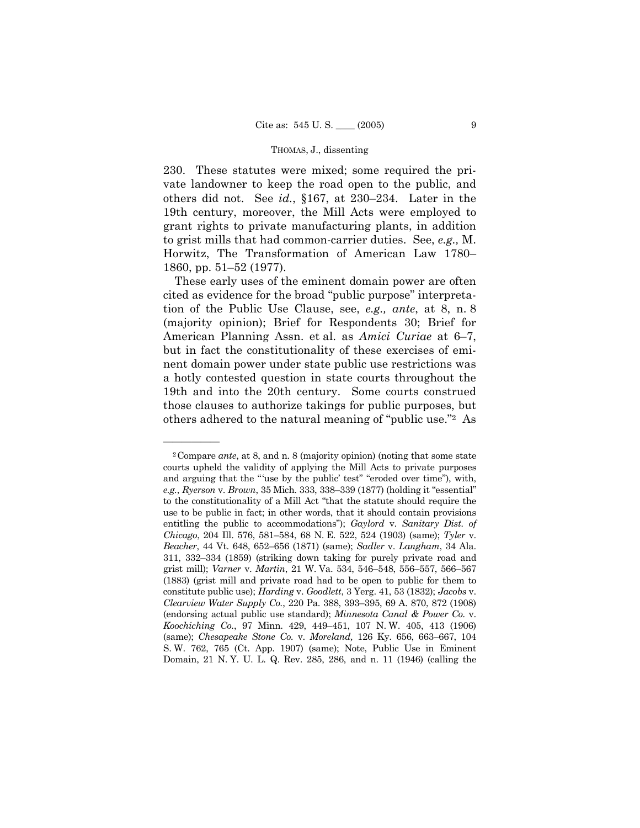230. These statutes were mixed; some required the private landowner to keep the road open to the public, and others did not. See id.,  $$167$ , at 230-234. Later in the 19th century, moreover, the Mill Acts were employed to grant rights to private manufacturing plants, in addition to grist mills that had common-carrier duties. See,  $e.g., M.$ Horwitz, The Transformation of American Law 1780– 1860, pp.  $51-52$  (1977).

These early uses of the eminent domain power are often cited as evidence for the broad "public purpose" interpretation of the Public Use Clause, see, e.g., ante, at 8, n. 8 (majority opinion); Brief for Respondents 30; Brief for American Planning Assn. et al. as Amici Curiae at 6–7, but in fact the constitutionality of these exercises of eminent domain power under state public use restrictions was a hotly contested question in state courts throughout the 19th and into the 20th century. Some courts construed those clauses to authorize takings for public purposes, but others adhered to the natural meaning of "public use." As

<sup>&</sup>lt;sup>2</sup> Compare ante, at 8, and n. 8 (majority opinion) (noting that some state courts upheld the validity of applying the Mill Acts to private purposes and arguing that the "use by the public' test" "eroded over time"), with, e.g., Ryerson v. Brown, 35 Mich. 333, 338–339 (1877) (holding it "essential" to the constitutionality of a Mill Act "that the statute should require the use to be public in fact; in other words, that it should contain provisions entitling the public to accommodations"); Gaylord v. Sanitary Dist. of Chicago, 204 Ill. 576, 581-584, 68 N. E. 522, 524 (1903) (same); Tyler v. Beacher, 44 Vt. 648, 652–656 (1871) (same); Sadler v. Langham, 34 Ala. 311, 332-334 (1859) (striking down taking for purely private road and grist mill); Varner v. Martin, 21 W. Va. 534, 546-548, 556-557, 566-567 (1883) (grist mill and private road had to be open to public for them to constitute public use); Harding v. Goodlett, 3 Yerg. 41, 53 (1832); Jacobs v. Clearview Water Supply Co., 220 Pa. 388, 393-395, 69 A. 870, 872 (1908) (endorsing actual public use standard); *Minnesota Canal & Power Co. v.* Koochiching Co., 97 Minn. 429, 449-451, 107 N.W. 405, 413 (1906) (same); *Chesapeake Stone Co. v. Moreland*, 126 Ky. 656, 663-667, 104 S. W. 762, 765 (Ct. App. 1907) (same); Note, Public Use in Eminent Domain, 21 N.Y. U. L. Q. Rev. 285, 286, and n. 11 (1946) (calling the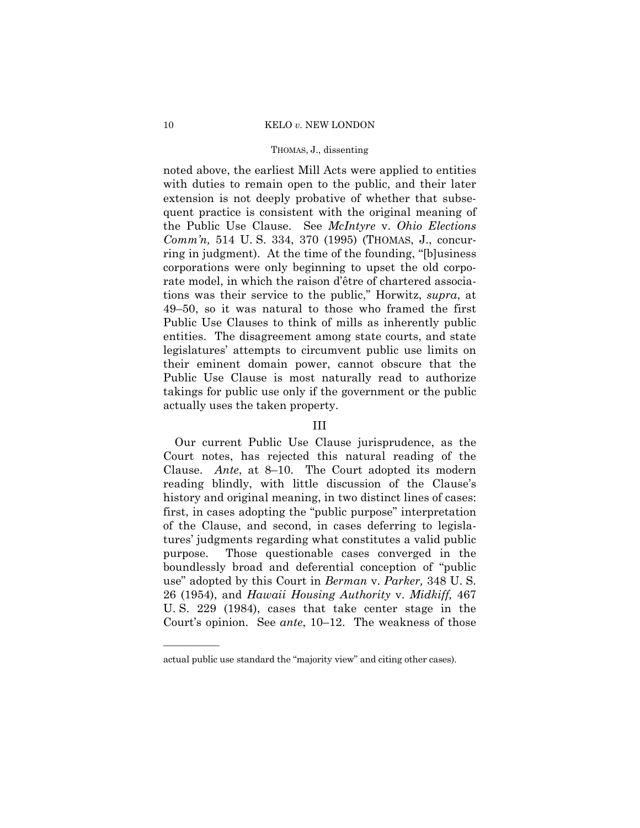noted above, the earliest Mill Acts were applied to entities with duties to remain open to the public, and their later extension is not deeply probative of whether that subsequent practice is consistent with the original meaning of the Public Use Clause. See *McIntyre* v. *Ohio Elections Commín,* 514 U. S. 334, 370 (1995) (THOMAS, J., concurring in judgment). At the time of the founding, "[b]usiness corporations were only beginning to upset the old corporate model, in which the raison d'être of chartered associations was their service to the public," Horwitz, *supra*, at  $49-50$ , so it was natural to those who framed the first Public Use Clauses to think of mills as inherently public entities. The disagreement among state courts, and state legislatures' attempts to circumvent public use limits on their eminent domain power, cannot obscure that the Public Use Clause is most naturally read to authorize takings for public use only if the government or the public actually uses the taken property.

### III

 Our current Public Use Clause jurisprudence, as the Court notes, has rejected this natural reading of the Clause. *Ante*, at 8–10. The Court adopted its modern reading blindly, with little discussion of the Clause's history and original meaning, in two distinct lines of cases: first, in cases adopting the "public purpose" interpretation of the Clause, and second, in cases deferring to legislatures' judgments regarding what constitutes a valid public purpose. Those questionable cases converged in the boundlessly broad and deferential conception of "public use" adopted by this Court in *Berman* v. *Parker*, 348 U.S. 26 (1954), and *Hawaii Housing Authority* v. *Midkiff,* 467 U. S. 229 (1984), cases that take center stage in the Court's opinion. See *ante*, 10–12. The weakness of those

óóóóóó

actual public use standard the "majority view" and citing other cases).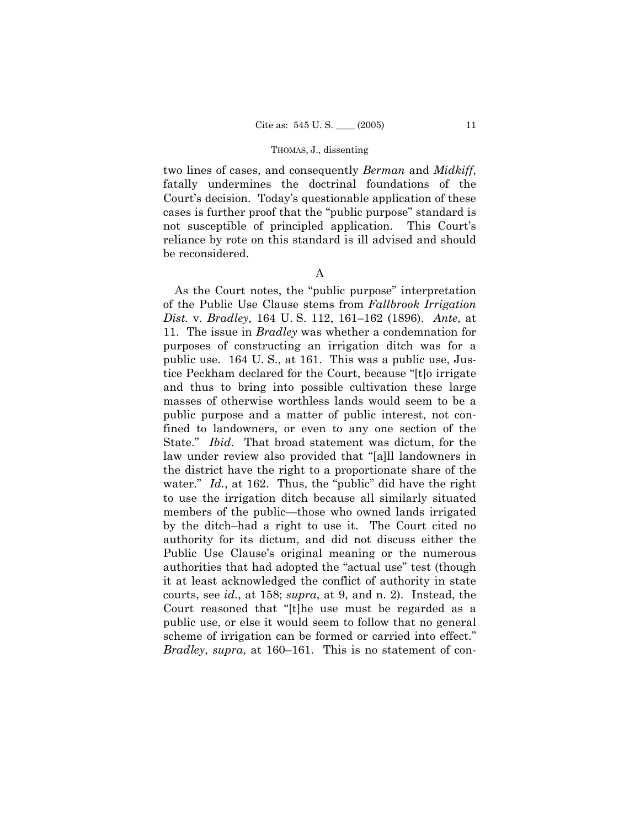two lines of cases, and consequently *Berman* and *Midkiff*, fatally undermines the doctrinal foundations of the Court's decision. Today's questionable application of these cases is further proof that the "public purpose" standard is not susceptible of principled application. This Court's reliance by rote on this standard is ill advised and should be reconsidered.

A

As the Court notes, the "public purpose" interpretation of the Public Use Clause stems from *Fallbrook Irrigation Dist.* v. *Bradley*, 164 U. S. 112, 161–162 (1896). *Ante*, at 11. The issue in *Bradley* was whether a condemnation for purposes of constructing an irrigation ditch was for a public use. 164 U. S., at 161. This was a public use, Justice Peckham declared for the Court, because "[t]o irrigate and thus to bring into possible cultivation these large masses of otherwise worthless lands would seem to be a public purpose and a matter of public interest, not confined to landowners, or even to any one section of the State." *Ibid.* That broad statement was dictum, for the law under review also provided that "[a]ll landowners in the district have the right to a proportionate share of the water."  $Id.$ , at 162. Thus, the "public" did have the right to use the irrigation ditch because all similarly situated members of the public—those who owned lands irrigated by the ditch-had a right to use it. The Court cited no authority for its dictum, and did not discuss either the Public Use Clause's original meaning or the numerous authorities that had adopted the "actual use" test (though it at least acknowledged the conflict of authority in state courts, see *id.*, at 158; *supra*, at 9, and n. 2). Instead, the Court reasoned that "[t]he use must be regarded as a public use, or else it would seem to follow that no general scheme of irrigation can be formed or carried into effect." *Bradley*, *supra*, at 160–161. This is no statement of con-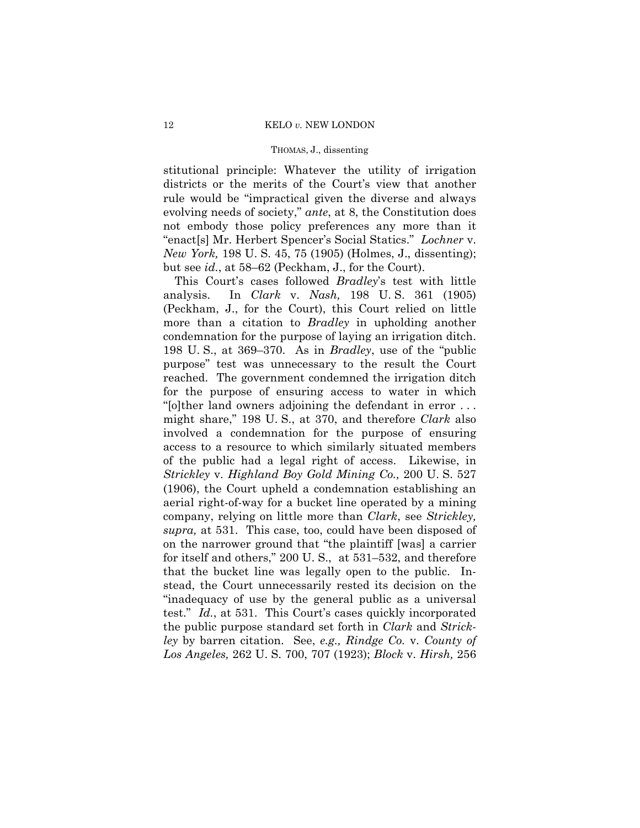stitutional principle: Whatever the utility of irrigation districts or the merits of the Court's view that another rule would be "impractical given the diverse and always evolving needs of society," ante, at 8, the Constitution does not embody those policy preferences any more than it "enact[s] Mr. Herbert Spencer's Social Statics." Lochner v. *New York*, 198 U.S. 45, 75 (1905) (Holmes, J., dissenting); but see  $id.$ , at 58–62 (Peckham, J., for the Court).

This Court's cases followed *Bradley*'s test with little analysis. In *Clark* v. *Nash*, 198 U.S. 361 (1905) (Peckham, J., for the Court), this Court relied on little more than a citation to *Bradley* in upholding another condemnation for the purpose of laying an irrigation ditch. 198 U.S., at 369–370. As in *Bradley*, use of the "public" purpose" test was unnecessary to the result the Court reached. The government condemned the irrigation ditch for the purpose of ensuring access to water in which " $[0]$ ther land owners adjoining the defendant in error... might share," 198 U.S., at 370, and therefore Clark also involved a condemnation for the purpose of ensuring access to a resource to which similarly situated members of the public had a legal right of access. Likewise, in Strickley v. Highland Boy Gold Mining Co., 200 U.S. 527 (1906), the Court upheld a condemnation establishing an aerial right-of-way for a bucket line operated by a mining company, relying on little more than Clark, see Strickley, supra, at 531. This case, too, could have been disposed of on the narrower ground that "the plaintiff [was] a carrier for itself and others," 200 U.S., at 531–532, and therefore that the bucket line was legally open to the public. Instead, the Court unnecessarily rested its decision on the "inadequacy of use by the general public as a universal test." Id., at 531. This Court's cases quickly incorporated the public purpose standard set forth in *Clark* and *Strick*ley by barren citation. See, e.g., Rindge Co. v. County of Los Angeles, 262 U.S. 700, 707 (1923); Block v. Hirsh, 256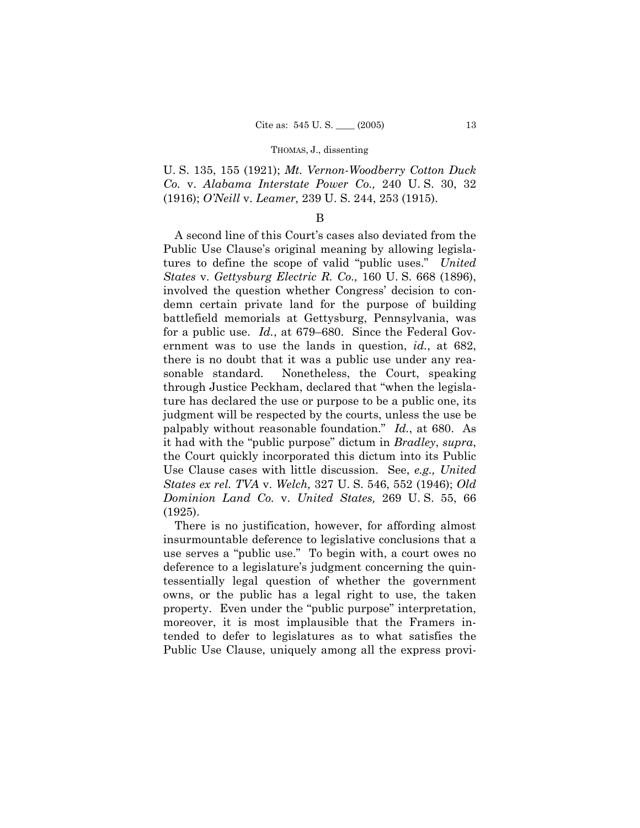U. S. 135, 155 (1921); *Mt. Vernon-Woodberry Cotton Duck Co.* v. *Alabama Interstate Power Co.,* 240 U. S. 30, 32 (1916); *OíNeill* v. *Leamer,* 239 U. S. 244, 253 (1915).

# B

A second line of this Court's cases also deviated from the Public Use Clause's original meaning by allowing legislatures to define the scope of valid "public uses." *United States* v. *Gettysburg Electric R. Co.,* 160 U. S. 668 (1896), involved the question whether Congress' decision to condemn certain private land for the purpose of building battlefield memorials at Gettysburg, Pennsylvania, was for a public use.  $Id.$ , at 679–680. Since the Federal Government was to use the lands in question, *id.*, at 682, there is no doubt that it was a public use under any reasonable standard. Nonetheless, the Court, speaking through Justice Peckham, declared that "when the legislature has declared the use or purpose to be a public one, its judgment will be respected by the courts, unless the use be palpably without reasonable foundation.î *Id.*, at 680. As it had with the "public purpose" dictum in *Bradley*, *supra*, the Court quickly incorporated this dictum into its Public Use Clause cases with little discussion. See, *e.g., United States ex rel. TVA* v. *Welch,* 327 U. S. 546, 552 (1946); *Old Dominion Land Co.* v. *United States,* 269 U. S. 55, 66 (1925).

 There is no justification, however, for affording almost insurmountable deference to legislative conclusions that a use serves a "public use." To begin with, a court owes no deference to a legislature's judgment concerning the quintessentially legal question of whether the government owns, or the public has a legal right to use, the taken property. Even under the "public purpose" interpretation, moreover, it is most implausible that the Framers intended to defer to legislatures as to what satisfies the Public Use Clause, uniquely among all the express provi-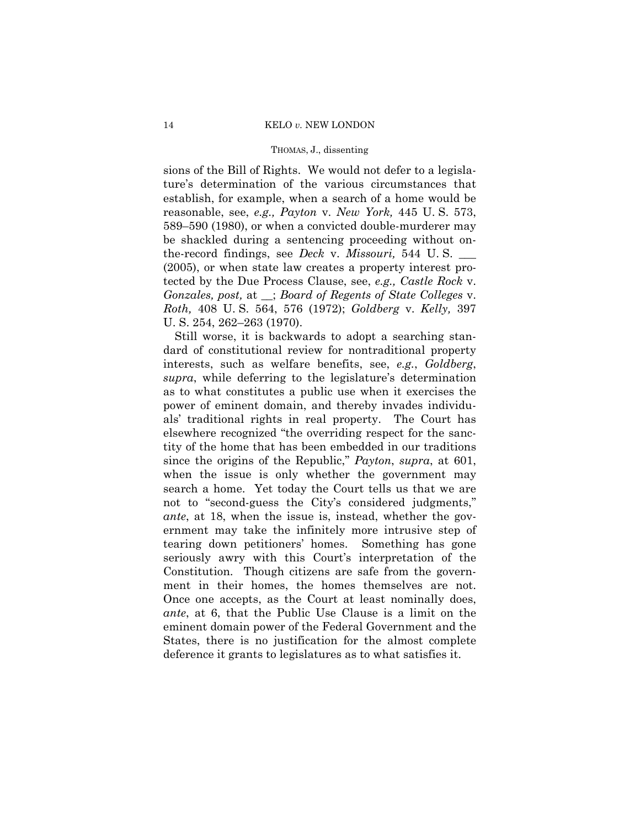sions of the Bill of Rights. We would not defer to a legislatureís determination of the various circumstances that establish, for example, when a search of a home would be reasonable, see, *e.g., Payton* v. *New York,* 445 U. S. 573,  $589-590$  (1980), or when a convicted double-murderer may be shackled during a sentencing proceeding without onthe-record findings, see *Deck* v. *Missouri,* 544 U. S. \_\_\_ (2005), or when state law creates a property interest protected by the Due Process Clause, see, *e.g., Castle Rock* v. *Gonzales, post,* at \_\_; *Board of Regents of State Colleges* v. *Roth,* 408 U. S. 564, 576 (1972); *Goldberg* v. *Kelly,* 397 U. S. 254, 262–263 (1970).

 Still worse, it is backwards to adopt a searching standard of constitutional review for nontraditional property interests, such as welfare benefits, see, *e.g.*, *Goldberg*, supra, while deferring to the legislature's determination as to what constitutes a public use when it exercises the power of eminent domain, and thereby invades individuals' traditional rights in real property. The Court has elsewhere recognized "the overriding respect for the sanctity of the home that has been embedded in our traditions since the origins of the Republic," *Payton*, *supra*, at 601, when the issue is only whether the government may search a home. Yet today the Court tells us that we are not to "second-guess the City's considered judgments," *ante*, at 18, when the issue is, instead, whether the government may take the infinitely more intrusive step of tearing down petitionersí homes. Something has gone seriously awry with this Court's interpretation of the Constitution. Though citizens are safe from the government in their homes, the homes themselves are not. Once one accepts, as the Court at least nominally does, *ante*, at 6, that the Public Use Clause is a limit on the eminent domain power of the Federal Government and the States, there is no justification for the almost complete deference it grants to legislatures as to what satisfies it.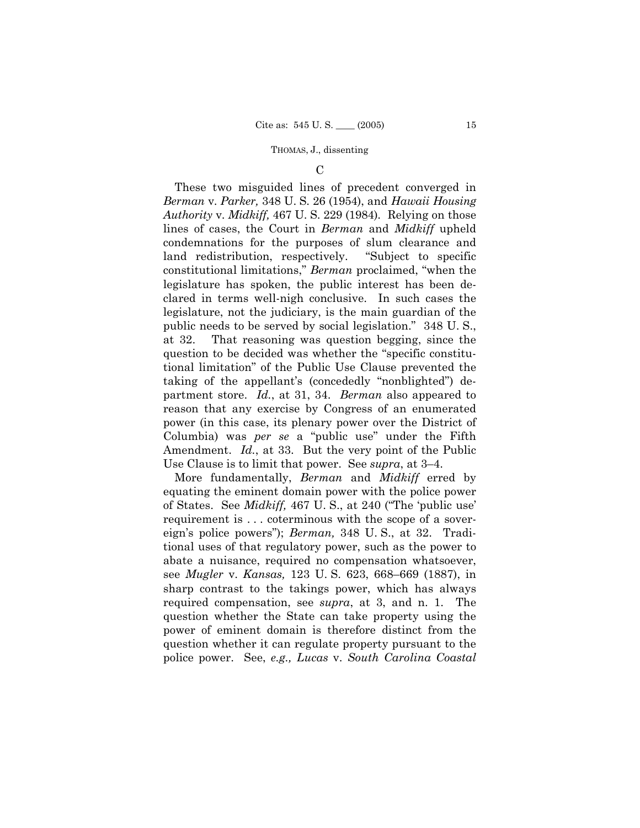### $\Gamma$

 These two misguided lines of precedent converged in *Berman* v. *Parker,* 348 U. S. 26 (1954), and *Hawaii Housing Authority* v. *Midkiff,* 467 U. S. 229 (1984). Relying on those lines of cases, the Court in *Berman* and *Midkiff* upheld condemnations for the purposes of slum clearance and land redistribution, respectively. "Subject to specific constitutional limitations," *Berman* proclaimed, "when the legislature has spoken, the public interest has been declared in terms well-nigh conclusive. In such cases the legislature, not the judiciary, is the main guardian of the public needs to be served by social legislation." 348 U.S., at 32. That reasoning was question begging, since the question to be decided was whether the "specific constitutional limitationî of the Public Use Clause prevented the taking of the appellant's (concededly "nonblighted") department store. *Id.*, at 31, 34. *Berman* also appeared to reason that any exercise by Congress of an enumerated power (in this case, its plenary power over the District of Columbia) was *per se* a "public use" under the Fifth Amendment. *Id.*, at 33. But the very point of the Public Use Clause is to limit that power. See *supra*, at 3–4.

 More fundamentally, *Berman* and *Midkiff* erred by equating the eminent domain power with the police power of States. See *Midkiff*, 467 U.S., at 240 ("The 'public use' requirement is . . . coterminous with the scope of a sovereign's police powers"); *Berman*, 348 U.S., at 32. Traditional uses of that regulatory power, such as the power to abate a nuisance, required no compensation whatsoever, see *Mugler* v. *Kansas*, 123 U. S. 623, 668–669 (1887), in sharp contrast to the takings power, which has always required compensation, see *supra*, at 3, and n. 1. The question whether the State can take property using the power of eminent domain is therefore distinct from the question whether it can regulate property pursuant to the police power. See, *e.g., Lucas* v. *South Carolina Coastal*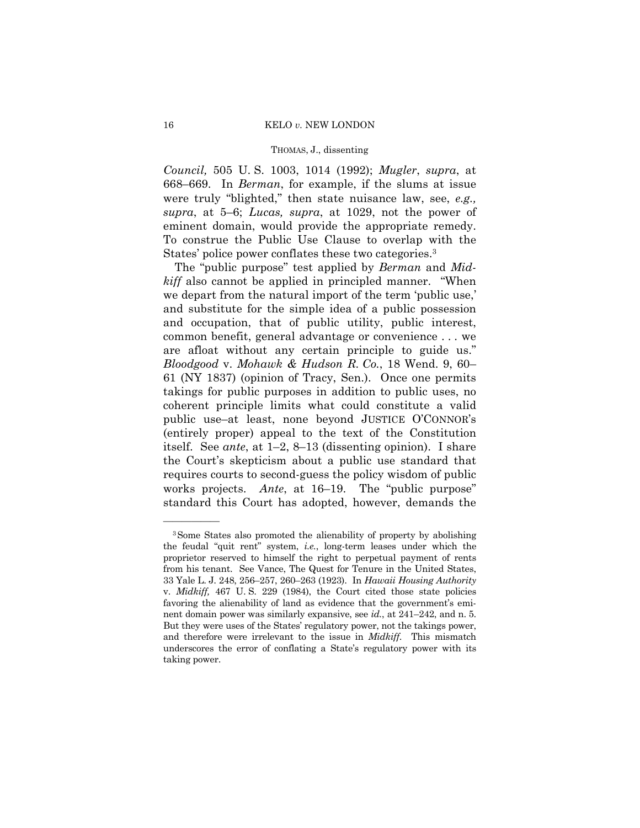*Council,* 505 U. S. 1003, 1014 (1992); *Mugler*, *supra*, at 668–669. In *Berman*, for example, if the slums at issue were truly "blighted," then state nuisance law, see, e.g., supra, at 5–6; *Lucas*, *supra*, at 1029, not the power of eminent domain, would provide the appropriate remedy. To construe the Public Use Clause to overlap with the States' police power conflates these two categories.<sup>3</sup>

The "public purpose" test applied by *Berman* and *Midkiff* also cannot be applied in principled manner. "When we depart from the natural import of the term 'public use,' and substitute for the simple idea of a public possession and occupation, that of public utility, public interest, common benefit, general advantage or convenience . . . we are afloat without any certain principle to guide us." *Bloodgood v. Mohawk & Hudson R. Co., 18 Wend. 9, 60*-61 (NY 1837) (opinion of Tracy, Sen.). Once one permits takings for public purposes in addition to public uses, no coherent principle limits what could constitute a valid public use-at least, none beyond JUSTICE O'CONNOR's (entirely proper) appeal to the text of the Constitution itself. See *ante*, at  $1-2$ ,  $8-13$  (dissenting opinion). I share the Courtís skepticism about a public use standard that requires courts to second-guess the policy wisdom of public works projects. *Ante*, at 16–19. The "public purpose" standard this Court has adopted, however, demands the

óóóóóó

<sup>3</sup>Some States also promoted the alienability of property by abolishing the feudal "quit rent" system, *i.e.*, long-term leases under which the proprietor reserved to himself the right to perpetual payment of rents from his tenant. See Vance, The Quest for Tenure in the United States, 33 Yale L. J. 248, 256-257, 260-263 (1923). In *Hawaii Housing Authority* v. *Midkiff,* 467 U. S. 229 (1984), the Court cited those state policies favoring the alienability of land as evidence that the government's eminent domain power was similarly expansive, see *id.*, at 241–242, and n. 5. But they were uses of the States' regulatory power, not the takings power, and therefore were irrelevant to the issue in *Midkiff*. This mismatch underscores the error of conflating a State's regulatory power with its taking power.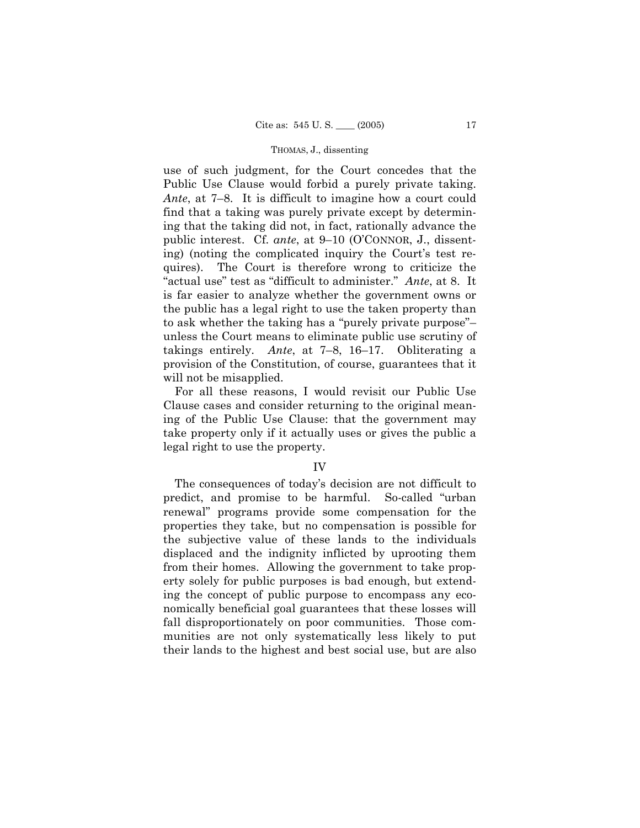use of such judgment, for the Court concedes that the Public Use Clause would forbid a purely private taking. *Ante*, at 7–8. It is difficult to imagine how a court could find that a taking was purely private except by determining that the taking did not, in fact, rationally advance the public interest. Cf. *ante*, at 9–10 (O'CONNOR, J., dissenting) (noting the complicated inquiry the Court's test requires). The Court is therefore wrong to criticize the "actual use" test as "difficult to administer." Ante, at 8. It is far easier to analyze whether the government owns or the public has a legal right to use the taken property than to ask whether the taking has a "purely private purpose"unless the Court means to eliminate public use scrutiny of takings entirely. *Ante*, at 7-8, 16-17. Obliterating a provision of the Constitution, of course, guarantees that it will not be misapplied.

 For all these reasons, I would revisit our Public Use Clause cases and consider returning to the original meaning of the Public Use Clause: that the government may take property only if it actually uses or gives the public a legal right to use the property.

### IV

The consequences of today's decision are not difficult to predict, and promise to be harmful. So-called "urban renewal" programs provide some compensation for the properties they take, but no compensation is possible for the subjective value of these lands to the individuals displaced and the indignity inflicted by uprooting them from their homes. Allowing the government to take property solely for public purposes is bad enough, but extending the concept of public purpose to encompass any economically beneficial goal guarantees that these losses will fall disproportionately on poor communities. Those communities are not only systematically less likely to put their lands to the highest and best social use, but are also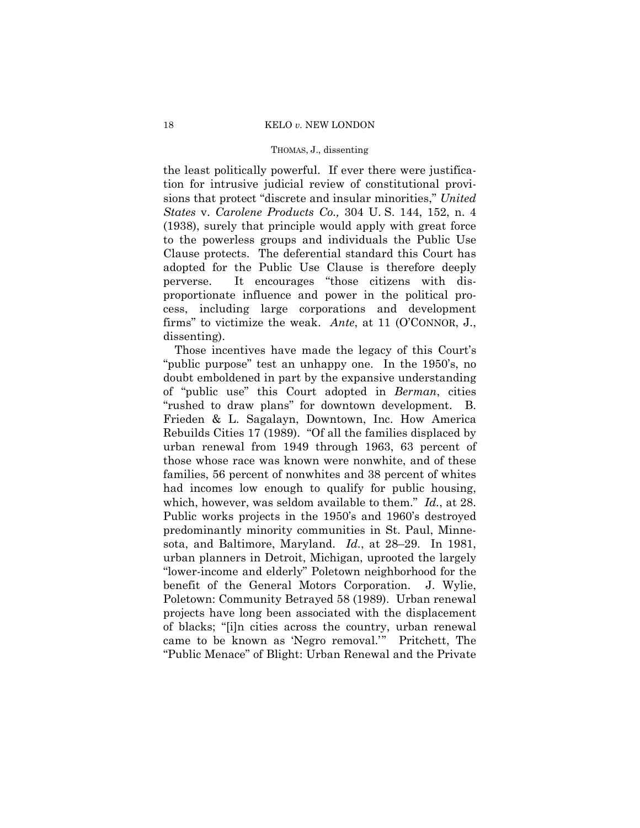### THOMAS, J., dissenting

the least politically powerful. If ever there were justification for intrusive judicial review of constitutional provisions that protect "discrete and insular minorities," United States v. Carolene Products Co., 304 U.S. 144, 152, n. 4 (1938), surely that principle would apply with great force to the powerless groups and individuals the Public Use Clause protects. The deferential standard this Court has adopted for the Public Use Clause is therefore deeply It encourages "those citizens with disperverse. proportionate influence and power in the political process, including large corporations and development firms" to victimize the weak. Ante, at 11 (O'CONNOR, J., dissenting).

Those incentives have made the legacy of this Court's "public purpose" test an unhappy one. In the 1950's, no doubt emboldened in part by the expansive understanding of "public use" this Court adopted in Berman, cities "rushed to draw plans" for downtown development. B. Frieden & L. Sagalayn, Downtown, Inc. How America Rebuilds Cities 17 (1989). "Of all the families displaced by urban renewal from 1949 through 1963, 63 percent of those whose race was known were nonwhite, and of these families, 56 percent of nonwhites and 38 percent of whites had incomes low enough to qualify for public housing, which, however, was seldom available to them."  $Id$ , at 28. Public works projects in the 1950's and 1960's destroyed predominantly minority communities in St. Paul, Minnesota, and Baltimore, Maryland. Id., at 28-29. In 1981, urban planners in Detroit, Michigan, uprooted the largely "lower-income and elderly" Poletown neighborhood for the benefit of the General Motors Corporation. J. Wylie, Poletown: Community Betrayed 58 (1989). Urban renewal projects have long been associated with the displacement of blacks; "[i]n cities across the country, urban renewal came to be known as 'Negro removal.'" Pritchett, The "Public Menace" of Blight: Urban Renewal and the Private